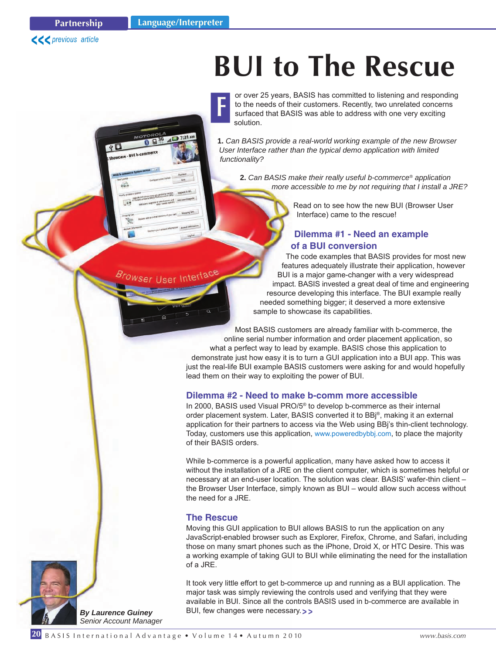$7:31 A b$ 

**F**



# **BUI to The Rescue**

or over 25 years, BASIS has committed to listening and responding to the needs of their customers. Recently, two unrelated concerns surfaced that BASIS was able to address with one very exciting solution.

**1.** *Can BASIS provide a real-world working example of the new Browser User Interface rather than the typical demo application with limited functionality?*

**2.** *Can BASIS make their really useful b-commerce® application more accessible to me by not requiring that I install a JRE?*

> Read on to see how the new BUI (Browser User Interface) came to the rescue!

## **Dilemma #1 - Need an example of a BUI conversion**

The code examples that BASIS provides for most new features adequately illustrate their application, however BUI is a major game-changer with a very widespread impact. BASIS invested a great deal of time and engineering resource developing this interface. The BUI example really needed something bigger; it deserved a more extensive sample to showcase its capabilities.

Most BASIS customers are already familiar with b-commerce, the online serial number information and order placement application, so what a perfect way to lead by example. BASIS chose this application to demonstrate just how easy it is to turn a GUI application into a BUI app. This was just the real-life BUI example BASIS customers were asking for and would hopefully lead them on their way to exploiting the power of BUI.

## **Dilemma #2 - Need to make b-comm more accessible**

In 2000, BASIS used Visual PRO/5® to develop b-commerce as their internal order placement system. Later, BASIS converted it to BBj®, making it an external application for their partners to access via the Web using BBj's thin-client technology. Today, customers use this applicatio[n, www.poweredbybbj.com, t](http://poweredbybbj.com/)o place the majority of their BASIS orders.

While b-commerce is a powerful application, many have asked how to access it without the installation of a JRE on the client computer, which is sometimes helpful or necessary at an end-user location. The solution was clear. BASIS' wafer-thin client – the Browser User Interface, simply known as BUI – would allow such access without the need for a JRE.

#### **The Rescue**

Moving this GUI application to BUI allows BASIS to run the application on any JavaScript-enabled browser such as Explorer, Firefox, Chrome, and Safari, including those on many smart phones such as the iPhone, Droid X, or HTC Desire. This was a working example of taking GUI to BUI while eliminating the need for the installation of a JRE.

It took very little effort to get b-commerce up and running as a BUI application. The major task was simply reviewing the controls used and verifying that they were available in BUI. Since all the controls BASIS used in b-commerce are available in BUI, few changes were necessary.**> >**

*By Laurence Guiney Senior Account Manager*